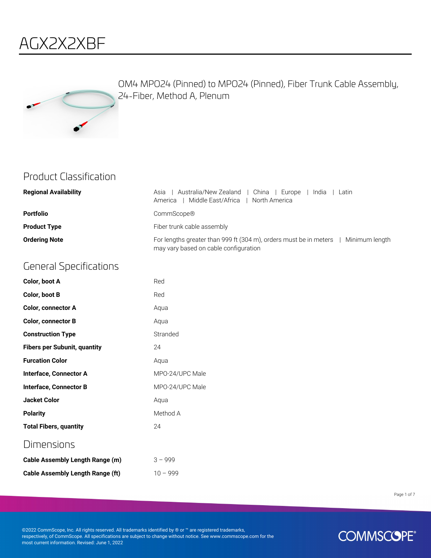



OM4 MPO24 (Pinned) to MPO24 (Pinned), Fiber Trunk Cable Assembly, 24-Fiber, Method A, Plenum

#### Product Classification

| <b>Regional Availability</b> | Australia/New Zealand  <br>l China<br>Asia<br>Europe<br>India<br>Latin<br>Middle East/Africa<br>North America<br>America     |
|------------------------------|------------------------------------------------------------------------------------------------------------------------------|
| <b>Portfolio</b>             | CommScope®                                                                                                                   |
| <b>Product Type</b>          | Fiber trunk cable assembly                                                                                                   |
| <b>Ordering Note</b>         | For lengths greater than 999 ft (304 m), orders must be in meters<br>Minimum length<br>may vary based on cable configuration |

#### General Specifications

| Color, boot A                   | Red             |
|---------------------------------|-----------------|
| Color, boot B                   | Red             |
| <b>Color, connector A</b>       | Aqua            |
| <b>Color, connector B</b>       | Aqua            |
| <b>Construction Type</b>        | Stranded        |
| Fibers per Subunit, quantity    | 24              |
| <b>Furcation Color</b>          | Aqua            |
| Interface, Connector A          | MPO-24/UPC Male |
| Interface, Connector B          | MPO-24/UPC Male |
| <b>Jacket Color</b>             | Aqua            |
| <b>Polarity</b>                 | Method A        |
| <b>Total Fibers, quantity</b>   | 24              |
| Dimensions                      |                 |
| Cable Assembly Length Range (m) | $3 - 999$       |

**Cable Assembly Length Range (ft)** 10 - 999

Page 1 of 7

©2022 CommScope, Inc. All rights reserved. All trademarks identified by ® or ™ are registered trademarks, respectively, of CommScope. All specifications are subject to change without notice. See www.commscope.com for the most current information. Revised: June 1, 2022

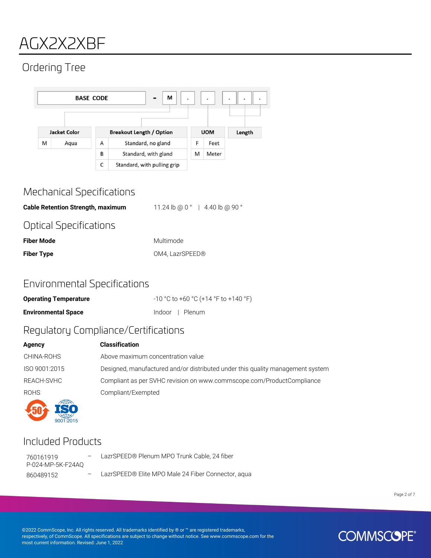### AGX2X2XBF

### Ordering Tree



#### Mechanical Specifications

**Cable Retention Strength, maximum** 11.24 lb @ 0 ° | 4.40 lb @ 90 °

#### Optical Specifications

| <b>Fiber Mode</b> | Multimode       |
|-------------------|-----------------|
| <b>Fiber Type</b> | OM4. LazrSPEED® |

#### Environmental Specifications

| <b>Operating Temperature</b> | -10 °C to +60 °C (+14 °F to +140 °F) |
|------------------------------|--------------------------------------|
| <b>Environmental Space</b>   | Indoor I Plenum                      |

#### Regulatory Compliance/Certifications

| Agency        | <b>Classification</b>                                                          |
|---------------|--------------------------------------------------------------------------------|
| CHINA-ROHS    | Above maximum concentration value                                              |
| ISO 9001:2015 | Designed, manufactured and/or distributed under this quality management system |
| REACH-SVHC    | Compliant as per SVHC revision on www.commscope.com/ProductCompliance          |
| <b>ROHS</b>   | Compliant/Exempted                                                             |
|               |                                                                                |

#### Included Products

9001:2015

760161919 P-024-MP-5K-F24AQ – LazrSPEED® Plenum MPO Trunk Cable, 24 fiber

860489152 – LazrSPEED® Elite MPO Male 24 Fiber Connector, aqua

Page 2 of 7

©2022 CommScope, Inc. All rights reserved. All trademarks identified by ® or ™ are registered trademarks, respectively, of CommScope. All specifications are subject to change without notice. See www.commscope.com for the most current information. Revised: June 1, 2022

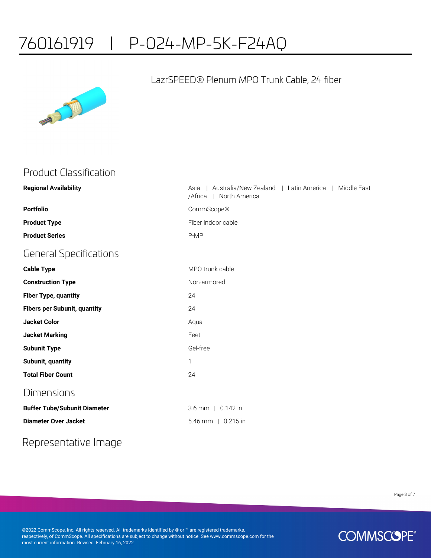### 760161919 | P-024-MP-5K-F24AQ



#### LazrSPEED® Plenum MPO Trunk Cable, 24 fiber

#### Product Classification

| <b>Regional Availability</b>        | Australia/New Zealand   Latin America<br>Middle East<br>Asia<br>North America<br>/Africa |
|-------------------------------------|------------------------------------------------------------------------------------------|
| <b>Portfolio</b>                    | CommScope®                                                                               |
| <b>Product Type</b>                 | Fiber indoor cable                                                                       |
| <b>Product Series</b>               | P-MP                                                                                     |
| <b>General Specifications</b>       |                                                                                          |
| <b>Cable Type</b>                   | MPO trunk cable                                                                          |
| <b>Construction Type</b>            | Non-armored                                                                              |
| <b>Fiber Type, quantity</b>         | 24                                                                                       |
| <b>Fibers per Subunit, quantity</b> | 24                                                                                       |
| <b>Jacket Color</b>                 | Aqua                                                                                     |
| <b>Jacket Marking</b>               | Feet                                                                                     |
| <b>Subunit Type</b>                 | Gel-free                                                                                 |
| Subunit, quantity                   | 1                                                                                        |
| <b>Total Fiber Count</b>            | 24                                                                                       |
| <b>Dimensions</b>                   |                                                                                          |
| <b>Buffer Tube/Subunit Diameter</b> | 3.6 mm   0.142 in                                                                        |
| <b>Diameter Over Jacket</b>         | 5.46 mm   0.215 in                                                                       |
|                                     |                                                                                          |

### Representative Image

Page 3 of 7

©2022 CommScope, Inc. All rights reserved. All trademarks identified by ® or ™ are registered trademarks, respectively, of CommScope. All specifications are subject to change without notice. See www.commscope.com for the most current information. Revised: February 16, 2022

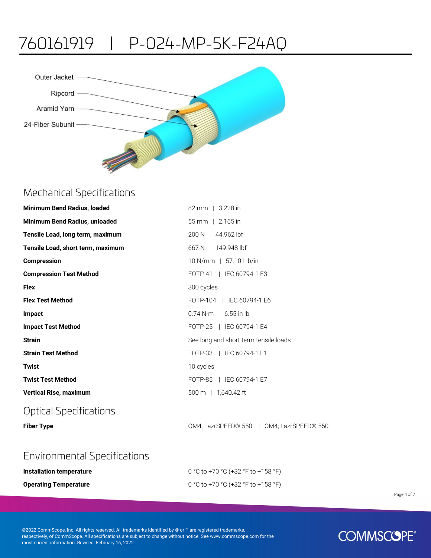# 760161919 | P-024-MP-5K-F24AQ



#### Mechanical Specifications

| Minimum Bend Radius, loaded       | 82 mm   3.228 in                          |
|-----------------------------------|-------------------------------------------|
| Minimum Bend Radius, unloaded     | $55 \, \text{mm}$   2.165 in              |
| Tensile Load, long term, maximum  | 200 N   44.962 lbf                        |
| Tensile Load, short term, maximum | $667 N$   149.948 lbf                     |
| <b>Compression</b>                | 10 N/mm   57.101 lb/in                    |
| <b>Compression Test Method</b>    | FOTP-41   IEC 60794-1 E3                  |
| <b>Flex</b>                       | 300 cycles                                |
| <b>Flex Test Method</b>           | FOTP-104   IEC 60794-1 E6                 |
| Impact                            | $0.74$ N-m   6.55 in lb                   |
| <b>Impact Test Method</b>         | FOTP-25   IEC 60794-1 E4                  |
| <b>Strain</b>                     | See long and short term tensile loads     |
| <b>Strain Test Method</b>         | FOTP-33   IEC 60794-1 E1                  |
| <b>Twist</b>                      | 10 cycles                                 |
| <b>Twist Test Method</b>          | FOTP-85   IEC 60794-1 E7                  |
| <b>Vertical Rise, maximum</b>     | 500 m   1,640.42 ft                       |
| <b>Optical Specifications</b>     |                                           |
| <b>Fiber Type</b>                 | OM4, LazrSPEED® 550   OM4, LazrSPEED® 550 |

#### Environmental Specifications

| Installation temperature     | 0 °C to +70 °C (+32 °F to +158 °F) |
|------------------------------|------------------------------------|
| <b>Operating Temperature</b> | 0 °C to +70 °C (+32 °F to +158 °F) |

Page 4 of 7

©2022 CommScope, Inc. All rights reserved. All trademarks identified by ® or ™ are registered trademarks, respectively, of CommScope. All specifications are subject to change without notice. See www.commscope.com for the most current information. Revised: February 16, 2022

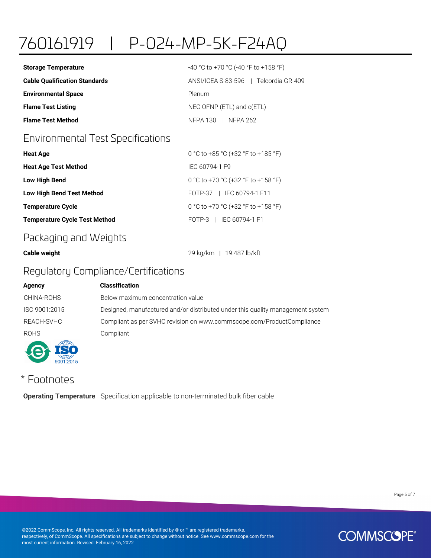# 760161919 | P-024-MP-5K-F24AQ

| <b>Storage Temperature</b>           | $-40$ °C to +70 °C (-40 °F to +158 °F) |
|--------------------------------------|----------------------------------------|
| <b>Cable Qualification Standards</b> | ANSI/ICEA S-83-596   Telcordia GR-409  |
| <b>Environmental Space</b>           | Plenum                                 |
| <b>Flame Test Listing</b>            | NEC OFNP (ETL) and c(ETL)              |
| <b>Flame Test Method</b>             | NFPA 130   NFPA 262                    |

#### Environmental Test Specifications

| <b>Heat Age</b>                      | 0 °C to +85 °C (+32 °F to +185 °F) |
|--------------------------------------|------------------------------------|
| <b>Heat Age Test Method</b>          | IFC 60794-1 F9                     |
| <b>Low High Bend</b>                 | 0 °C to +70 °C (+32 °F to +158 °F) |
| <b>Low High Bend Test Method</b>     | FOTP-37   IEC 60794-1 E11          |
| <b>Temperature Cycle</b>             | 0 °C to +70 °C (+32 °F to +158 °F) |
| <b>Temperature Cycle Test Method</b> | FOTP-3   IEC 60794-1 F1            |

#### Packaging and Weights

**Cable weight** 29 kg/km | 19.487 lb/kft

#### Regulatory Compliance/Certifications

| Agency        | <b>Classification</b>                                                          |
|---------------|--------------------------------------------------------------------------------|
| CHINA-ROHS    | Below maximum concentration value                                              |
| ISO 9001:2015 | Designed, manufactured and/or distributed under this quality management system |
| REACH-SVHC    | Compliant as per SVHC revision on www.commscope.com/ProductCompliance          |
| <b>ROHS</b>   | Compliant                                                                      |
|               |                                                                                |

### \* Footnotes

 $\frac{1}{2001}$ 

**Operating Temperature** Specification applicable to non-terminated bulk fiber cable

Page 5 of 7

©2022 CommScope, Inc. All rights reserved. All trademarks identified by ® or ™ are registered trademarks, respectively, of CommScope. All specifications are subject to change without notice. See www.commscope.com for the most current information. Revised: February 16, 2022

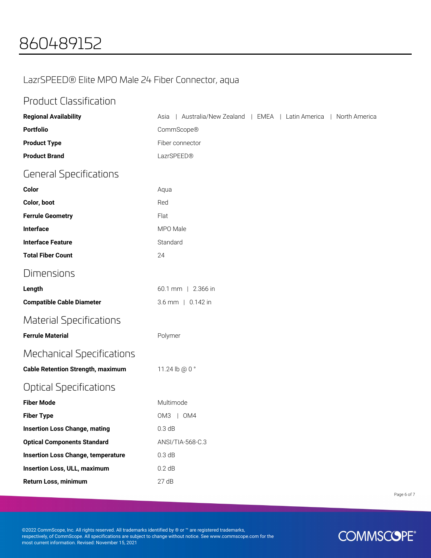#### LazrSPEED® Elite MPO Male 24 Fiber Connector, aqua

#### Product Classification

| <b>Regional Availability</b>              | Australia/New Zealand   EMEA   Latin America<br>  North America<br>Asia |
|-------------------------------------------|-------------------------------------------------------------------------|
| <b>Portfolio</b>                          | CommScope®                                                              |
| <b>Product Type</b>                       | Fiber connector                                                         |
| <b>Product Brand</b>                      | LazrSPEED®                                                              |
| <b>General Specifications</b>             |                                                                         |
| Color                                     | Aqua                                                                    |
| Color, boot                               | Red                                                                     |
| <b>Ferrule Geometry</b>                   | Flat                                                                    |
| Interface                                 | MPO Male                                                                |
| <b>Interface Feature</b>                  | Standard                                                                |
| <b>Total Fiber Count</b>                  | 24                                                                      |
| <b>Dimensions</b>                         |                                                                         |
| Length                                    | 60.1 mm   2.366 in                                                      |
| <b>Compatible Cable Diameter</b>          | 3.6 mm   0.142 in                                                       |
| <b>Material Specifications</b>            |                                                                         |
| <b>Ferrule Material</b>                   | Polymer                                                                 |
| <b>Mechanical Specifications</b>          |                                                                         |
| <b>Cable Retention Strength, maximum</b>  | 11.24 lb @ 0 °                                                          |
| <b>Optical Specifications</b>             |                                                                         |
| <b>Fiber Mode</b>                         | Multimode                                                               |
| <b>Fiber Type</b>                         | OM3   OM4                                                               |
| <b>Insertion Loss Change, mating</b>      | 0.3 dB                                                                  |
| <b>Optical Components Standard</b>        | ANSI/TIA-568-C.3                                                        |
| <b>Insertion Loss Change, temperature</b> | 0.3 dB                                                                  |
| <b>Insertion Loss, ULL, maximum</b>       | 0.2 dB                                                                  |
| Return Loss, minimum                      | 27dB                                                                    |

Page 6 of 7

©2022 CommScope, Inc. All rights reserved. All trademarks identified by ® or ™ are registered trademarks, respectively, of CommScope. All specifications are subject to change without notice. See www.commscope.com for the most current information. Revised: November 15, 2021